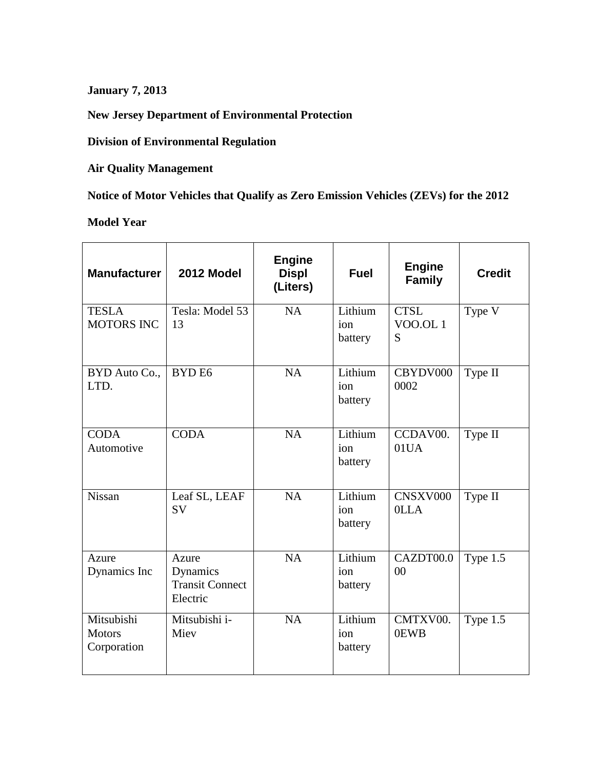**January 7, 2013**

**New Jersey Department of Environmental Protection**

**Division of Environmental Regulation**

**Air Quality Management**

**Notice of Motor Vehicles that Qualify as Zero Emission Vehicles (ZEVs) for the 2012**

**Model Year**

| <b>Manufacturer</b>                        | 2012 Model                                              | <b>Engine</b><br><b>Displ</b><br>(Liters) | <b>Fuel</b>               | <b>Engine</b><br><b>Family</b>     | <b>Credit</b> |
|--------------------------------------------|---------------------------------------------------------|-------------------------------------------|---------------------------|------------------------------------|---------------|
| <b>TESLA</b><br><b>MOTORS INC</b>          | Tesla: Model 53<br>13                                   | <b>NA</b>                                 | Lithium<br>ion<br>battery | <b>CTSL</b><br><b>VOO.OL1</b><br>S | Type V        |
| BYD Auto Co.,<br>LTD.                      | BYD <sub>E6</sub>                                       | <b>NA</b>                                 | Lithium<br>ion<br>battery | CBYDV000<br>0002                   | Type II       |
| <b>CODA</b><br>Automotive                  | <b>CODA</b>                                             | <b>NA</b>                                 | Lithium<br>ion<br>battery | CCDAV00.<br>01UA                   | Type II       |
| Nissan                                     | Leaf SL, LEAF<br><b>SV</b>                              | <b>NA</b>                                 | Lithium<br>ion<br>battery | CNSXV000<br>0LLA                   | Type II       |
| Azure<br>Dynamics Inc                      | Azure<br>Dynamics<br><b>Transit Connect</b><br>Electric | NA                                        | Lithium<br>ion<br>battery | CAZDT00.0<br>00                    | Type 1.5      |
| Mitsubishi<br><b>Motors</b><br>Corporation | Mitsubishi i-<br>Miev                                   | <b>NA</b>                                 | Lithium<br>ion<br>battery | CMTXV00.<br>0EWB                   | Type 1.5      |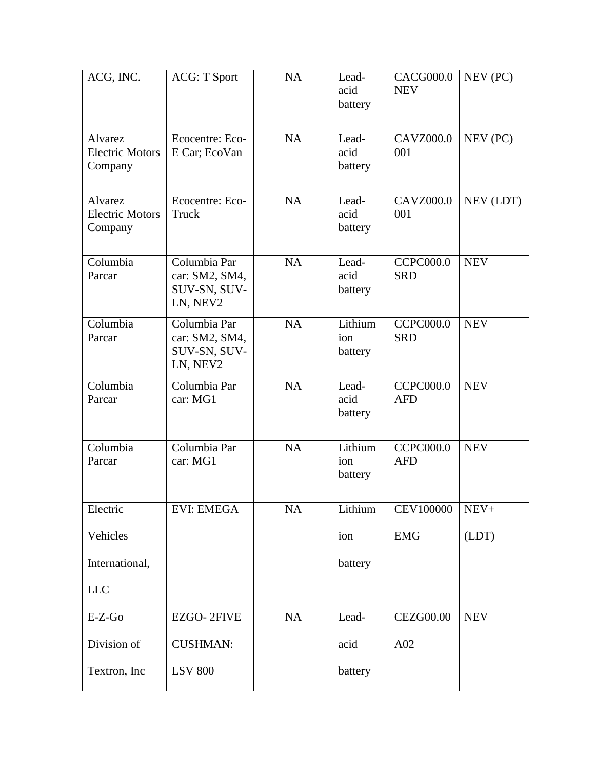| ACG, INC.                                    | <b>ACG: T Sport</b>                                        | <b>NA</b> | Lead-<br>acid<br>battery  | <b>CACG000.0</b><br><b>NEV</b>        | NEV (PC)   |
|----------------------------------------------|------------------------------------------------------------|-----------|---------------------------|---------------------------------------|------------|
| Alvarez<br><b>Electric Motors</b><br>Company | Ecocentre: Eco-<br>E Car; EcoVan                           | <b>NA</b> | Lead-<br>acid<br>battery  | <b>CAVZ000.0</b><br>001               | NEV (PC)   |
| Alvarez<br><b>Electric Motors</b><br>Company | Ecocentre: Eco-<br>Truck                                   | <b>NA</b> | Lead-<br>acid<br>battery  | <b>CAVZ000.0</b><br>001               | NEV (LDT)  |
| Columbia<br>Parcar                           | Columbia Par<br>car: SM2, SM4,<br>SUV-SN, SUV-<br>LN, NEV2 | <b>NA</b> | Lead-<br>acid<br>battery  | <b>CCPC000.0</b><br><b>SRD</b>        | <b>NEV</b> |
| Columbia<br>Parcar                           | Columbia Par<br>car: SM2, SM4,<br>SUV-SN, SUV-<br>LN, NEV2 | <b>NA</b> | Lithium<br>ion<br>battery | <b>CCPC000.0</b><br><b>SRD</b>        | <b>NEV</b> |
| Columbia<br>Parcar                           | Columbia Par<br>car: MG1                                   | <b>NA</b> | Lead-<br>acid<br>battery  | <b>CCPC000.0</b><br><b>AFD</b>        | <b>NEV</b> |
| Columbia<br>Parcar                           | Columbia Par<br>car: MG1                                   | <b>NA</b> | Lithium<br>ion<br>battery | $\overline{C}$ CPC000.0<br><b>AFD</b> | <b>NEV</b> |
| Electric                                     | EVI: EMEGA                                                 | NA        | Lithium                   | <b>CEV100000</b>                      | $NEV+$     |
| Vehicles                                     |                                                            |           | ion                       | <b>EMG</b>                            | (LDT)      |
| International,                               |                                                            |           | battery                   |                                       |            |
| <b>LLC</b>                                   |                                                            |           |                           |                                       |            |
| $E-Z-Go$                                     | EZGO-2FIVE                                                 | NA        | Lead-                     | <b>CEZG00.00</b>                      | <b>NEV</b> |
| Division of                                  | <b>CUSHMAN:</b>                                            |           | acid                      | A02                                   |            |
| Textron, Inc.                                | <b>LSV 800</b>                                             |           | battery                   |                                       |            |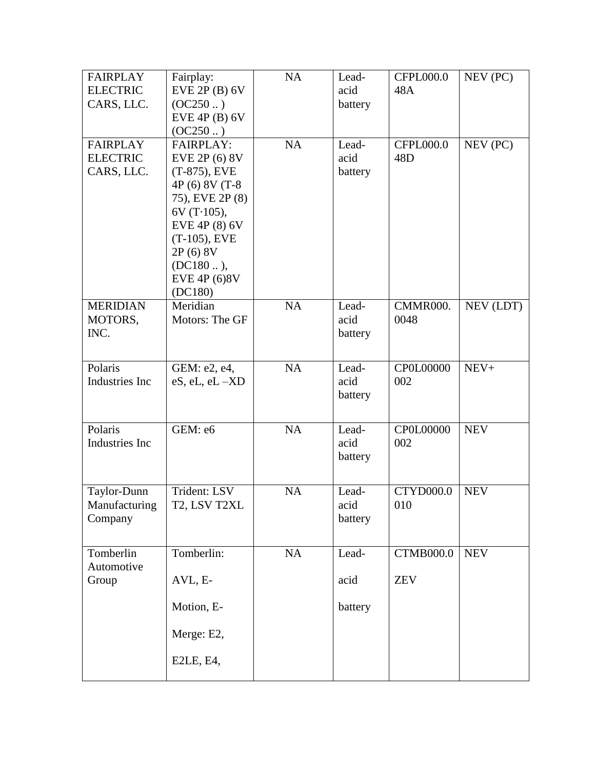| <b>FAIRPLAY</b>                    | Fairplay:                        | NA        | Lead-         | <b>CFPL000.0</b>                    | NEV (PC)   |
|------------------------------------|----------------------------------|-----------|---------------|-------------------------------------|------------|
| <b>ELECTRIC</b>                    | EVE 2P(B) 6V                     |           | acid          | 48A                                 |            |
| CARS, LLC.                         | (OC250 )                         |           | battery       |                                     |            |
|                                    | $EVE$ 4P (B) 6V                  |           |               |                                     |            |
|                                    | (OC250 )                         |           |               |                                     |            |
| <b>FAIRPLAY</b><br><b>ELECTRIC</b> | <b>FAIRPLAY:</b>                 | <b>NA</b> | Lead-<br>acid | <b>CFPL000.0</b><br>48 <sub>D</sub> | NEV (PC)   |
| CARS, LLC.                         | EVE 2P (6) 8V<br>$(T-875)$ , EVE |           | battery       |                                     |            |
|                                    | 4P (6) 8V (T-8                   |           |               |                                     |            |
|                                    | 75), EVE 2P (8)                  |           |               |                                     |            |
|                                    | $6V(T-105)$ ,                    |           |               |                                     |            |
|                                    | EVE 4P (8) 6V                    |           |               |                                     |            |
|                                    | $(T-105)$ , EVE                  |           |               |                                     |            |
|                                    | 2P (6) 8V                        |           |               |                                     |            |
|                                    | $(DC180)$ ,                      |           |               |                                     |            |
|                                    | EVE 4P (6)8V                     |           |               |                                     |            |
|                                    | (DC180)                          |           |               |                                     |            |
| <b>MERIDIAN</b>                    | Meridian                         | <b>NA</b> | Lead-         | CMMR000.                            | NEV (LDT)  |
| MOTORS,                            | Motors: The GF                   |           | acid          | 0048                                |            |
| INC.                               |                                  |           | battery       |                                     |            |
|                                    |                                  |           |               |                                     |            |
| Polaris                            | GEM: e2, e4,                     | NA        | Lead-         | CP0L00000                           | $NEV+$     |
| Industries Inc                     | eS, eL, eL-XD                    |           | acid          | 002                                 |            |
|                                    |                                  |           | battery       |                                     |            |
|                                    |                                  |           |               |                                     |            |
| Polaris                            | GEM: e6                          | NA        | Lead-         | CP0L00000                           | <b>NEV</b> |
| Industries Inc                     |                                  |           | acid          | 002                                 |            |
|                                    |                                  |           | battery       |                                     |            |
|                                    |                                  |           |               |                                     |            |
| Taylor-Dunn                        | Trident: LSV                     | <b>NA</b> | Lead-         | <b>CTYD000.0</b>                    | <b>NEV</b> |
| Manufacturing                      | T2, LSV T2XL                     |           | acid          | 010                                 |            |
| Company                            |                                  |           | battery       |                                     |            |
|                                    |                                  |           |               |                                     |            |
| Tomberlin                          | Tomberlin:                       | NA        | Lead-         | <b>CTMB000.0</b>                    | <b>NEV</b> |
| Automotive                         |                                  |           |               |                                     |            |
| Group                              | AVL, E-                          |           | acid          | <b>ZEV</b>                          |            |
|                                    |                                  |           |               |                                     |            |
|                                    | Motion, E-                       |           | battery       |                                     |            |
|                                    | Merge: E2,                       |           |               |                                     |            |
|                                    |                                  |           |               |                                     |            |
|                                    | E2LE, E4,                        |           |               |                                     |            |
|                                    |                                  |           |               |                                     |            |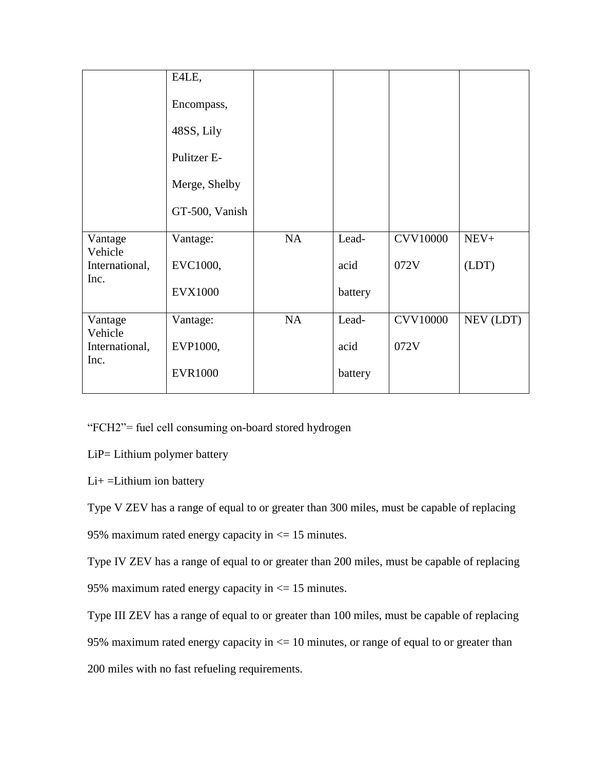|                           | E4LE,          |           |         |                 |           |
|---------------------------|----------------|-----------|---------|-----------------|-----------|
|                           | Encompass,     |           |         |                 |           |
|                           | 48SS, Lily     |           |         |                 |           |
|                           | Pulitzer E-    |           |         |                 |           |
|                           | Merge, Shelby  |           |         |                 |           |
|                           | GT-500, Vanish |           |         |                 |           |
| Vantage<br>Vehicle        | Vantage:       | <b>NA</b> | Lead-   | <b>CVV10000</b> | $NEV+$    |
| International,            | EVC1000,       |           | acid    | 072V            | (LDT)     |
| Inc.                      | <b>EVX1000</b> |           | battery |                 |           |
| Vantage                   | Vantage:       | <b>NA</b> | Lead-   | <b>CVV10000</b> | NEV (LDT) |
| Vehicle<br>International, | EVP1000,       |           | acid    | 072V            |           |
| Inc.                      | <b>EVR1000</b> |           | battery |                 |           |
|                           |                |           |         |                 |           |

"FCH2"= fuel cell consuming on-board stored hydrogen

LiP= Lithium polymer battery

Li+ =Lithium ion battery

Type V ZEV has a range of equal to or greater than 300 miles, must be capable of replacing

95% maximum rated energy capacity in <= 15 minutes.

Type IV ZEV has a range of equal to or greater than 200 miles, must be capable of replacing 95% maximum rated energy capacity in <= 15 minutes.

Type III ZEV has a range of equal to or greater than 100 miles, must be capable of replacing

95% maximum rated energy capacity in  $\leq$  10 minutes, or range of equal to or greater than

200 miles with no fast refueling requirements.